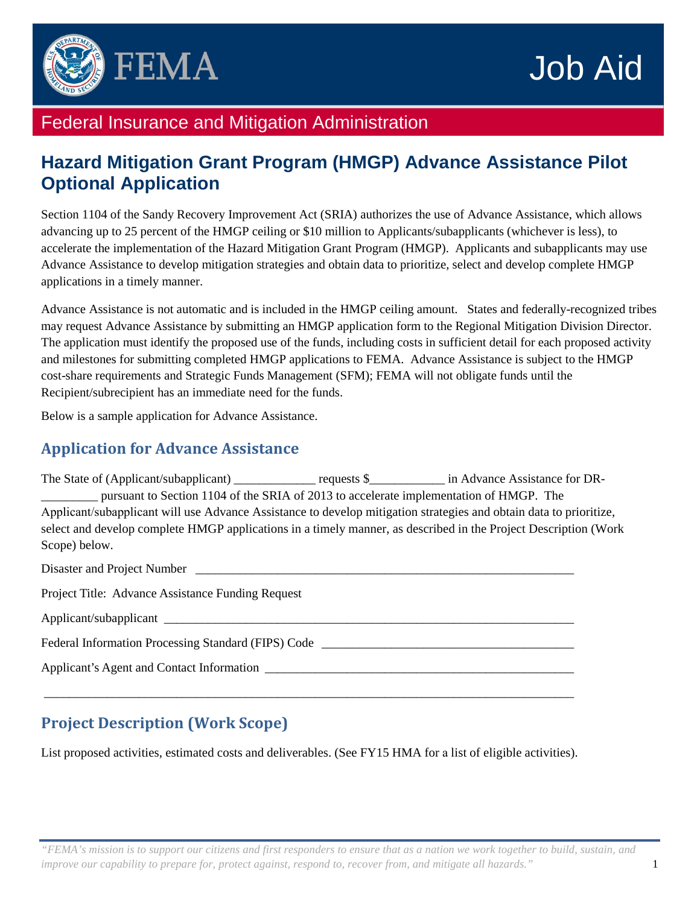

# Federal Insurance and Mitigation Administration

# **Hazard Mitigation Grant Program (HMGP) Advance Assistance Pilot Optional Application**

Section 1104 of the Sandy Recovery Improvement Act (SRIA) authorizes the use of Advance Assistance, which allows advancing up to 25 percent of the HMGP ceiling or \$10 million to Applicants/subapplicants (whichever is less), to accelerate the implementation of the Hazard Mitigation Grant Program (HMGP). Applicants and subapplicants may use Advance Assistance to develop mitigation strategies and obtain data to prioritize, select and develop complete HMGP applications in a timely manner.

Advance Assistance is not automatic and is included in the HMGP ceiling amount. States and federally-recognized tribes may request Advance Assistance by submitting an HMGP application form to the Regional Mitigation Division Director. The application must identify the proposed use of the funds, including costs in sufficient detail for each proposed activity and milestones for submitting completed HMGP applications to FEMA. Advance Assistance is subject to the HMGP cost-share requirements and Strategic Funds Management (SFM); FEMA will not obligate funds until the Recipient/subrecipient has an immediate need for the funds.

Below is a sample application for Advance Assistance.

#### **Application for Advance Assistance**

The State of (Applicant/subapplicant) \_\_\_\_\_\_\_\_\_\_\_\_\_ requests \$\_\_\_\_\_\_\_\_\_\_\_\_ in Advance Assistance for DR-\_\_\_\_\_\_\_\_\_ pursuant to Section 1104 of the SRIA of 2013 to accelerate implementation of HMGP. The Applicant/subapplicant will use Advance Assistance to develop mitigation strategies and obtain data to prioritize, select and develop complete HMGP applications in a timely manner, as described in the Project Description (Work Scope) below.

Disaster and Project Number Project Title: Advance Assistance Funding Request Applicant/subapplicant Federal Information Processing Standard (FIPS) Code Applicant's Agent and Contact Information \_\_\_\_\_\_\_\_\_\_\_\_\_\_\_\_\_\_\_\_\_\_\_\_\_\_\_\_\_\_\_\_\_\_\_\_\_\_\_\_\_\_\_\_\_\_\_\_\_\_\_\_\_\_\_\_\_\_\_\_\_\_\_\_\_\_\_\_\_\_\_\_\_\_\_\_\_\_\_\_\_\_\_\_

# **Project Description (Work Scope)**

List proposed activities, estimated costs and deliverables. (See FY15 HMA for a list of eligible activities).